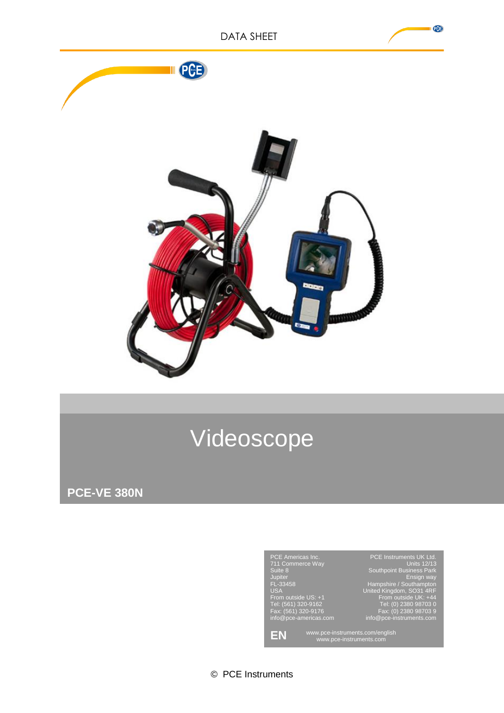

# Videoscope

**PCE-VE 380N**



© PCE Instruments

PCB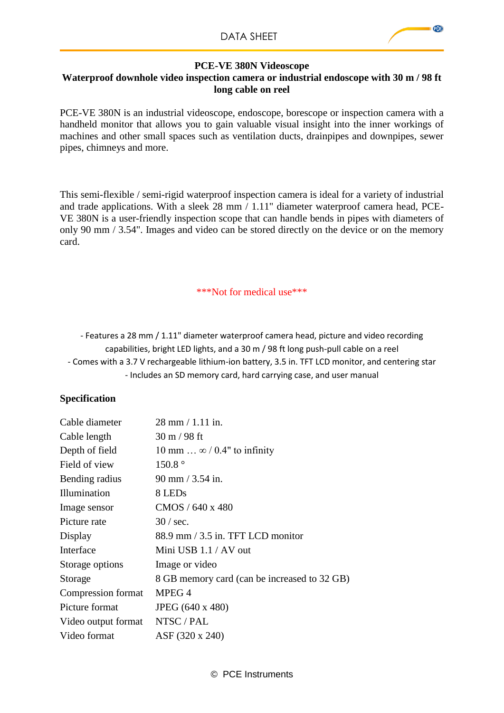## **PCE-VE 380N Videoscope Waterproof downhole video inspection camera or industrial endoscope with 30 m / 98 ft long cable on reel**

PCE-VE 380N is an industrial videoscope, endoscope, borescope or inspection camera with a handheld monitor that allows you to gain valuable visual insight into the inner workings of machines and other small spaces such as ventilation ducts, drainpipes and downpipes, sewer pipes, chimneys and more.

This semi-flexible / semi-rigid waterproof inspection camera is ideal for a variety of industrial and trade applications. With a sleek 28 mm / 1.11" diameter waterproof camera head, PCE-VE 380N is a user-friendly inspection scope that can handle bends in pipes with diameters of only 90 mm / 3.54". Images and video can be stored directly on the device or on the memory card.

#### \*\*\*Not for medical use\*\*\*

- Features a 28 mm / 1.11" diameter waterproof camera head, picture and video recording capabilities, bright LED lights, and a 30 m / 98 ft long push-pull cable on a reel - Comes with a 3.7 V rechargeable lithium-ion battery, 3.5 in. TFT LCD monitor, and centering star - Includes an SD memory card, hard carrying case, and user manual

# **Specification**

| Cable diameter      | 28 mm / 1.11 in.                             |
|---------------------|----------------------------------------------|
| Cable length        | $30 \text{ m} / 98 \text{ ft}$               |
| Depth of field      | 10 mm $\ldots \infty / 0.4$ " to infinity    |
| Field of view       | $150.8\text{°}$                              |
| Bending radius      | $90 \text{ mm} / 3.54 \text{ in.}$           |
| Illumination        | 8 LED <sub>s</sub>                           |
| Image sensor        | CMOS / 640 x 480                             |
| Picture rate        | $30 / \text{sec}$ .                          |
| Display             | $88.9$ mm $/$ 3.5 in. TFT LCD monitor        |
| Interface           | Mini USB $1.1 / AV$ out                      |
| Storage options     | Image or video                               |
| Storage             | 8 GB memory card (can be increased to 32 GB) |
| Compression format  | MPEG 4                                       |
| Picture format      | JPEG (640 x 480)                             |
| Video output format | NTSC / PAL                                   |
| Video format        | ASF (320 x 240)                              |

PCB